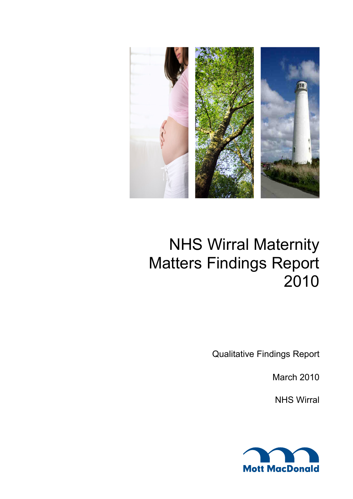

# NHS Wirral Maternity Matters Findings Report 2010

Qualitative Findings Report

March 2010

NHS Wirral

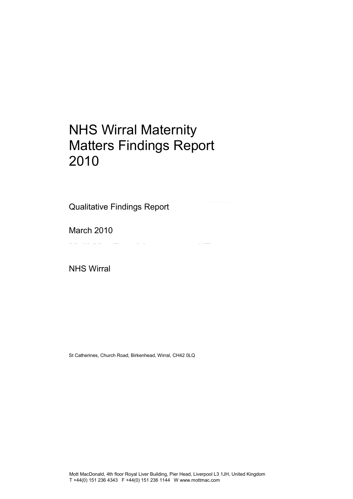## NHS Wirral Maternity Matters Findings Report 2010

Qualitative Findings Report

March 2010

NHS Wirral

St Catherines, Church Road, Birkenhead, Wirral, CH42 0LQ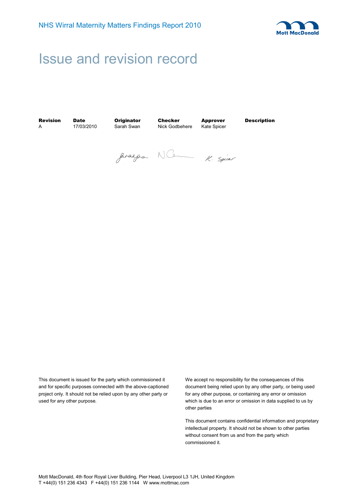

## Issue and revision record

A 17/03/2010 Sarah Swan Nick Godbehere

**Revision Date Originator Checker Approver Description**<br>A 17/03/2010 Sarah Swan Nick Godbehere Kate Spicer

gerages N.C. K. Spice

This document is issued for the party which commissioned it and for specific purposes connected with the above-captioned project only. It should not be relied upon by any other party or used for any other purpose.

We accept no responsibility for the consequences of this document being relied upon by any other party, or being used for any other purpose, or containing any error or omission which is due to an error or omission in data supplied to us by other parties

This document contains confidential information and proprietary intellectual property. It should not be shown to other parties without consent from us and from the party which commissioned it.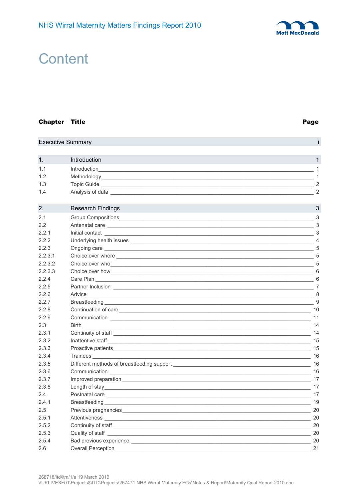

## **Content**

#### **Chapter Title**

#### Page

i.

## **Executive Summary**

| 1.  | <b>Introduction</b> |        |
|-----|---------------------|--------|
| 1.1 | Introduction        |        |
| 1.2 | Methodology_        |        |
| 1.3 | Topic Guide         | $\sim$ |
| 1.4 | Analysis of data    | ◠      |

| 2.      | <b>Research Findings</b>                                                                                                                                                                                                             | 3                          |
|---------|--------------------------------------------------------------------------------------------------------------------------------------------------------------------------------------------------------------------------------------|----------------------------|
| 2.1     |                                                                                                                                                                                                                                      | 3                          |
| 2.2     |                                                                                                                                                                                                                                      |                            |
| 2.2.1   |                                                                                                                                                                                                                                      | 3                          |
| 222     |                                                                                                                                                                                                                                      |                            |
| 2.2.3   | Ongoing care <u>example and the contract of the contract of the contract of the contract of the contract of the contract of the contract of the contract of the contract of the contract of the contract of the contract of the </u> | 5                          |
| 2.2.3.1 | Choice over where <b>expansion of the control of the control of the control of the control of the control of the control of the control of the control of the control of the control of the control of the control of the contro</b> | 5                          |
| 2.2.3.2 | Choice over who will be a series of the contract of the contract of the contract of the contract of the contract of the contract of the contract of the contract of the contract of the contract of the contract of the contra       | $\overline{\phantom{a}}$ 5 |
| 2.2.3.3 | Choice over how 600 million and the contract of the contract of the contract of the contract of the contract of the contract of the contract of the contract of the contract of the contract of the contract of the contract o       |                            |
| 2.2.4   | Care Plan                                                                                                                                                                                                                            | 6                          |
| 2.2.5   |                                                                                                                                                                                                                                      |                            |
| 2.2.6   |                                                                                                                                                                                                                                      |                            |
| 2.2.7   |                                                                                                                                                                                                                                      | 9                          |
| 2.2.8   | Continuation of care                                                                                                                                                                                                                 | 10                         |
| 2.2.9   |                                                                                                                                                                                                                                      |                            |
| 2.3     |                                                                                                                                                                                                                                      |                            |
| 2.3.1   |                                                                                                                                                                                                                                      | 14                         |
| 2.3.2   | Inattentive staff in the contract of the contract of the contract of the contract of the contract of the contract of the contract of the contract of the contract of the contract of the contract of the contract of the contr       |                            |
| 2.3.3   |                                                                                                                                                                                                                                      | 15                         |
| 2.3.4   |                                                                                                                                                                                                                                      | 16                         |
| 2.3.5   |                                                                                                                                                                                                                                      |                            |
| 2.3.6   |                                                                                                                                                                                                                                      |                            |
| 2.3.7   |                                                                                                                                                                                                                                      | 17                         |
| 2.3.8   |                                                                                                                                                                                                                                      |                            |
| 2.4     |                                                                                                                                                                                                                                      |                            |
| 2.4.1   |                                                                                                                                                                                                                                      | 19                         |
| 2.5     |                                                                                                                                                                                                                                      | 20                         |
| 2.5.1   |                                                                                                                                                                                                                                      |                            |
| 2.5.2   |                                                                                                                                                                                                                                      | 20                         |
| 2.5.3   |                                                                                                                                                                                                                                      | 20                         |
| 2.5.4   |                                                                                                                                                                                                                                      | $\sim$ 20                  |
| 2.6     | Overall Perception _________                                                                                                                                                                                                         | 21                         |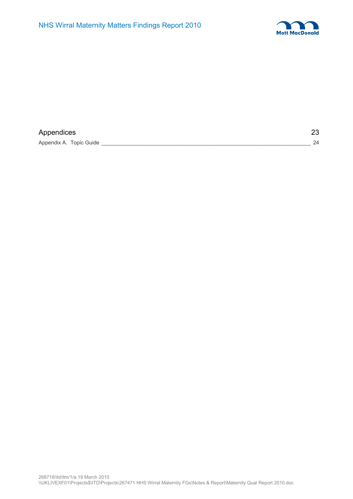

| Appendices              |  | 23 |
|-------------------------|--|----|
| Appendix A. Topic Guide |  | 24 |

268718/itd/itm/1/a 19 March 2010 \\UKLIVEXF01\Projects\$\ITD\Projects\267471 NHS Wirral Maternity FGs\Notes & Report\Maternity Qual Report 2010.doc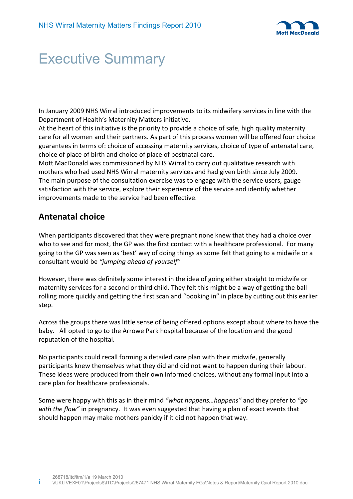

## Executive Summary

In January 2009 NHS Wirral introduced improvements to its midwifery services in line with the Department of Health's Maternity Matters initiative.

At the heart of this initiative is the priority to provide a choice of safe, high quality maternity care for all women and their partners. As part of this process women will be offered four choice guarantees in terms of: choice of accessing maternity services, choice of type of antenatal care, choice of place of birth and choice of place of postnatal care.

Mott MacDonald was commissioned by NHS Wirral to carry out qualitative research with mothers who had used NHS Wirral maternity services and had given birth since July 2009. The main purpose of the consultation exercise was to engage with the service users, gauge satisfaction with the service, explore their experience of the service and identify whether improvements made to the service had been effective.

## **Antenatal choice**

When participants discovered that they were pregnant none knew that they had a choice over who to see and for most, the GP was the first contact with a healthcare professional. For many going to the GP was seen as 'best' way of doing things as some felt that going to a midwife or a consultant would be *"jumping ahead of yourself"* 

However, there was definitely some interest in the idea of going either straight to midwife or maternity services for a second or third child. They felt this might be a way of getting the ball rolling more quickly and getting the first scan and "booking in" in place by cutting out this earlier step.

Across the groups there was little sense of being offered options except about where to have the baby. All opted to go to the Arrowe Park hospital because of the location and the good reputation of the hospital.

No participants could recall forming a detailed care plan with their midwife, generally participants knew themselves what they did and did not want to happen during their labour. These ideas were produced from their own informed choices, without any formal input into a care plan for healthcare professionals.

Some were happy with this as in their mind *"what happens…happens"* and they prefer to *"go with the flow"* in pregnancy. It was even suggested that having a plan of exact events that should happen may make mothers panicky if it did not happen that way.

i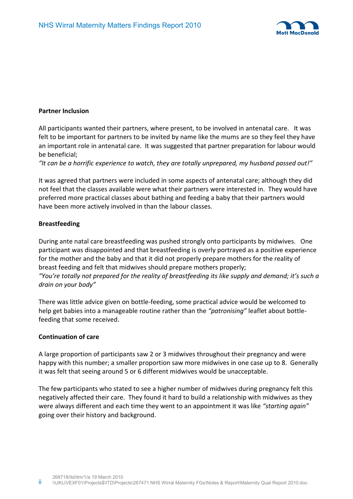

## **Partner Inclusion**

All participants wanted their partners, where present, to be involved in antenatal care. It was felt to be important for partners to be invited by name like the mums are so they feel they have an important role in antenatal care. It was suggested that partner preparation for labour would be beneficial;

*"It can be a horrific experience to watch, they are totally unprepared, my husband passed out!"* 

It was agreed that partners were included in some aspects of antenatal care; although they did not feel that the classes available were what their partners were interested in. They would have preferred more practical classes about bathing and feeding a baby that their partners would have been more actively involved in than the labour classes.

## **Breastfeeding**

During ante natal care breastfeeding was pushed strongly onto participants by midwives. One participant was disappointed and that breastfeeding is overly portrayed as a positive experience for the mother and the baby and that it did not properly prepare mothers for the reality of breast feeding and felt that midwives should prepare mothers properly; *"You're totally not prepared for the reality of breastfeeding its like supply and demand; it's such a drain on your body"* 

There was little advice given on bottle-feeding, some practical advice would be welcomed to help get babies into a manageable routine rather than the *"patronising"* leaflet about bottlefeeding that some received.

## **Continuation of care**

A large proportion of participants saw 2 or 3 midwives throughout their pregnancy and were happy with this number; a smaller proportion saw more midwives in one case up to 8. Generally it was felt that seeing around 5 or 6 different midwives would be unacceptable.

The few participants who stated to see a higher number of midwives during pregnancy felt this negatively affected their care. They found it hard to build a relationship with midwives as they were always different and each time they went to an appointment it was like *"starting again"* going over their history and background.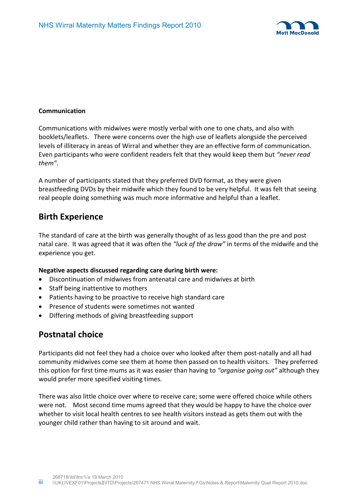

## **Communication**

Communications with midwives were mostly verbal with one to one chats, and also with booklets/leaflets. There were concerns over the high use of leaflets alongside the perceived levels of illiteracy in areas of Wirral and whether they are an effective form of communication. Even participants who were confident readers felt that they would keep them but *"never read them"*.

A number of participants stated that they preferred DVD format, as they were given breastfeeding DVDs by their midwife which they found to be very helpful. It was felt that seeing real people doing something was much more informative and helpful than a leaflet.

## **Birth Experience**

The standard of care at the birth was generally thought of as less good than the pre and post natal care. It was agreed that it was often the *"luck of the draw"* in terms of the midwife and the experience you get.

## **Negative aspects discussed regarding care during birth were:**

- Discontinuation of midwives from antenatal care and midwives at birth
- Staff being inattentive to mothers
- Patients having to be proactive to receive high standard care
- Presence of students were sometimes not wanted
- Differing methods of giving breastfeeding support

## **Postnatal choice**

Participants did not feel they had a choice over who looked after them post-natally and all had community midwives come see them at home then passed on to health visitors. They preferred this option for first time mums as it was easier than having to *"organise going out"* although they would prefer more specified visiting times.

There was also little choice over where to receive care; some were offered choice while others were not. Most second time mums agreed that they would be happy to have the choice over whether to visit local health centres to see health visitors instead as gets them out with the younger child rather than having to sit around and wait.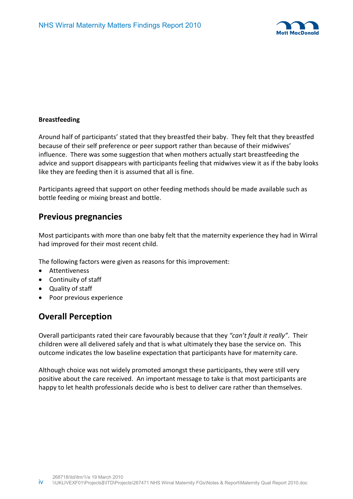

## **Breastfeeding**

Around half of participants' stated that they breastfed their baby. They felt that they breastfed because of their self preference or peer support rather than because of their midwives' influence. There was some suggestion that when mothers actually start breastfeeding the advice and support disappears with participants feeling that midwives view it as if the baby looks like they are feeding then it is assumed that all is fine.

Participants agreed that support on other feeding methods should be made available such as bottle feeding or mixing breast and bottle.

## **Previous pregnancies**

Most participants with more than one baby felt that the maternity experience they had in Wirral had improved for their most recent child.

The following factors were given as reasons for this improvement:

- Attentiveness
- Continuity of staff
- Quality of staff
- Poor previous experience

## **Overall Perception**

Overall participants rated their care favourably because that they *"can't fault it really"*. Their children were all delivered safely and that is what ultimately they base the service on. This outcome indicates the low baseline expectation that participants have for maternity care.

Although choice was not widely promoted amongst these participants, they were still very positive about the care received. An important message to take is that most participants are happy to let health professionals decide who is best to deliver care rather than themselves.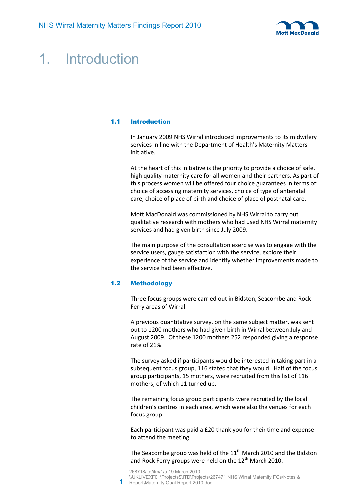

## 1. Introduction

## 1.1 Introduction

In January 2009 NHS Wirral introduced improvements to its midwifery services in line with the Department of Health's Maternity Matters initiative.

At the heart of this initiative is the priority to provide a choice of safe, high quality maternity care for all women and their partners. As part of this process women will be offered four choice guarantees in terms of: choice of accessing maternity services, choice of type of antenatal care, choice of place of birth and choice of place of postnatal care.

Mott MacDonald was commissioned by NHS Wirral to carry out qualitative research with mothers who had used NHS Wirral maternity services and had given birth since July 2009.

The main purpose of the consultation exercise was to engage with the service users, gauge satisfaction with the service, explore their experience of the service and identify whether improvements made to the service had been effective.

## 1.2 Methodology

1

Three focus groups were carried out in Bidston, Seacombe and Rock Ferry areas of Wirral.

A previous quantitative survey, on the same subject matter, was sent out to 1200 mothers who had given birth in Wirral between July and August 2009. Of these 1200 mothers 252 responded giving a response rate of 21%.

The survey asked if participants would be interested in taking part in a subsequent focus group, 116 stated that they would. Half of the focus group participants, 15 mothers, were recruited from this list of 116 mothers, of which 11 turned up.

The remaining focus group participants were recruited by the local children's centres in each area, which were also the venues for each focus group.

Each participant was paid a £20 thank you for their time and expense to attend the meeting.

The Seacombe group was held of the  $11<sup>th</sup>$  March 2010 and the Bidston and Rock Ferry groups were held on the 12<sup>th</sup> March 2010.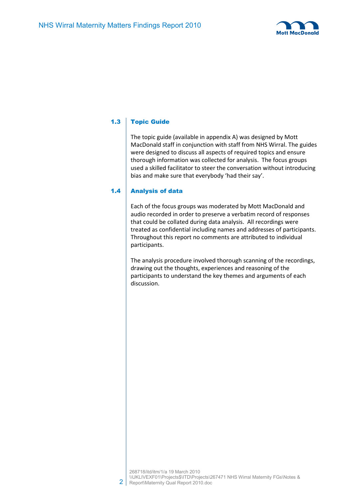

## 1.3 Topic Guide

The topic guide (available in appendix A) was designed by Mott MacDonald staff in conjunction with staff from NHS Wirral. The guides were designed to discuss all aspects of required topics and ensure thorough information was collected for analysis. The focus groups used a skilled facilitator to steer the conversation without introducing bias and make sure that everybody 'had their say'.

## 1.4 Analysis of data

Each of the focus groups was moderated by Mott MacDonald and audio recorded in order to preserve a verbatim record of responses that could be collated during data analysis. All recordings were treated as confidential including names and addresses of participants. Throughout this report no comments are attributed to individual participants.

The analysis procedure involved thorough scanning of the recordings, drawing out the thoughts, experiences and reasoning of the participants to understand the key themes and arguments of each discussion.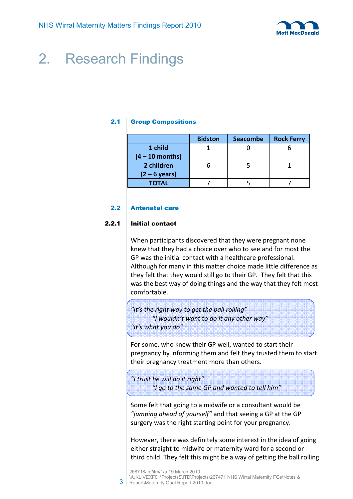

## 2. Research Findings

## 2.1 Group Compositions

|                   | <b>Bidston</b> | <b>Seacombe</b> | <b>Rock Ferry</b> |
|-------------------|----------------|-----------------|-------------------|
| 1 child           |                |                 |                   |
| $(4 - 10$ months) |                |                 |                   |
| 2 children        |                |                 |                   |
| $(2 - 6$ years)   |                |                 |                   |
| <b>TOTAL</b>      |                |                 |                   |

## 2.2 Antenatal care

## 2.2.1 Initial contact

When participants discovered that they were pregnant none knew that they had a choice over who to see and for most the GP was the initial contact with a healthcare professional. Although for many in this matter choice made little difference as they felt that they would still go to their GP. They felt that this was the best way of doing things and the way that they felt most comfortable.

*"It's the right way to get the ball rolling" "I wouldn't want to do it any other way" "It's what you do"* 

For some, who knew their GP well, wanted to start their pregnancy by informing them and felt they trusted them to start their pregnancy treatment more than others.

*"I trust he will do it right" "I go to the same GP and wanted to tell him"* 

Some felt that going to a midwife or a consultant would be *"jumping ahead of yourself"* and that seeing a GP at the GP surgery was the right starting point for your pregnancy.

However, there was definitely some interest in the idea of going either straight to midwife or maternity ward for a second or third child. They felt this might be a way of getting the ball rolling

3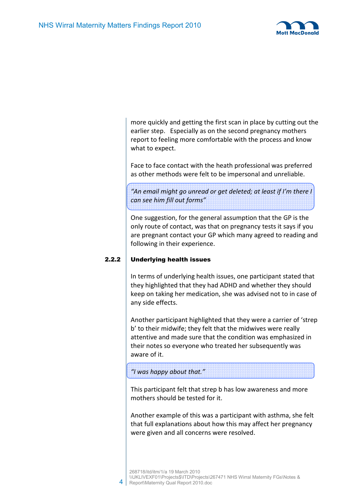

more quickly and getting the first scan in place by cutting out the earlier step. Especially as on the second pregnancy mothers report to feeling more comfortable with the process and know what to expect.

Face to face contact with the heath professional was preferred as other methods were felt to be impersonal and unreliable.

*"An email might go unread or get deleted; at least if I'm there I can see him fill out forms"* 

One suggestion, for the general assumption that the GP is the only route of contact, was that on pregnancy tests it says if you are pregnant contact your GP which many agreed to reading and following in their experience.

## 2.2.2 Underlying health issues

In terms of underlying health issues, one participant stated that they highlighted that they had ADHD and whether they should keep on taking her medication, she was advised not to in case of any side effects.

Another participant highlighted that they were a carrier of 'strep b' to their midwife; they felt that the midwives were really attentive and made sure that the condition was emphasized in their notes so everyone who treated her subsequently was aware of it.

## *"I was happy about that."*

4

This participant felt that strep b has low awareness and more mothers should be tested for it.

Another example of this was a participant with asthma, she felt that full explanations about how this may affect her pregnancy were given and all concerns were resolved.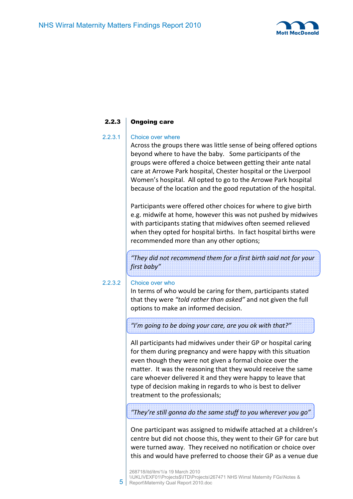

## 2.2.3 Ongoing care

## 2.2.3.1 Choice over where

Across the groups there was little sense of being offered options beyond where to have the baby. Some participants of the groups were offered a choice between getting their ante natal care at Arrowe Park hospital, Chester hospital or the Liverpool Women's hospital. All opted to go to the Arrowe Park hospital because of the location and the good reputation of the hospital.

Participants were offered other choices for where to give birth e.g. midwife at home, however this was not pushed by midwives with participants stating that midwives often seemed relieved when they opted for hospital births. In fact hospital births were recommended more than any other options;

*"They did not recommend them for a first birth said not for your first baby"* 

## 2.2.3.2 Choice over who

In terms of who would be caring for them, participants stated that they were *"told rather than asked"* and not given the full options to make an informed decision.

*"I'm going to be doing your care, are you ok with that?"* 

All participants had midwives under their GP or hospital caring for them during pregnancy and were happy with this situation even though they were not given a formal choice over the matter. It was the reasoning that they would receive the same care whoever delivered it and they were happy to leave that type of decision making in regards to who is best to deliver treatment to the professionals;

*"They're still gonna do the same stuff to you wherever you go"* 

One participant was assigned to midwife attached at a children's centre but did not choose this, they went to their GP for care but were turned away. They received no notification or choice over this and would have preferred to choose their GP as a venue due

5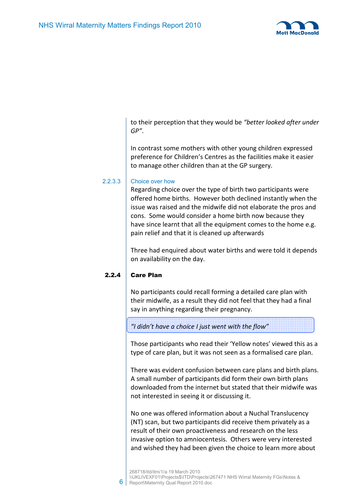

to their perception that they would be *"better looked after under GP"*.

In contrast some mothers with other young children expressed preference for Children's Centres as the facilities make it easier to manage other children than at the GP surgery.

## 2.2.3.3 Choice over how

Regarding choice over the type of birth two participants were offered home births. However both declined instantly when the issue was raised and the midwife did not elaborate the pros and cons. Some would consider a home birth now because they have since learnt that all the equipment comes to the home e.g. pain relief and that it is cleaned up afterwards

Three had enquired about water births and were told it depends on availability on the day.

## 2.2.4 Care Plan

6

No participants could recall forming a detailed care plan with their midwife, as a result they did not feel that they had a final say in anything regarding their pregnancy.

ļ *"I didn't have a choice I just went with the flow"* 

Those participants who read their 'Yellow notes' viewed this as a type of care plan, but it was not seen as a formalised care plan.

There was evident confusion between care plans and birth plans. A small number of participants did form their own birth plans downloaded from the internet but stated that their midwife was not interested in seeing it or discussing it.

No one was offered information about a Nuchal Translucency (NT) scan, but two participants did receive them privately as a result of their own proactiveness and research on the less invasive option to amniocentesis. Others were very interested and wished they had been given the choice to learn more about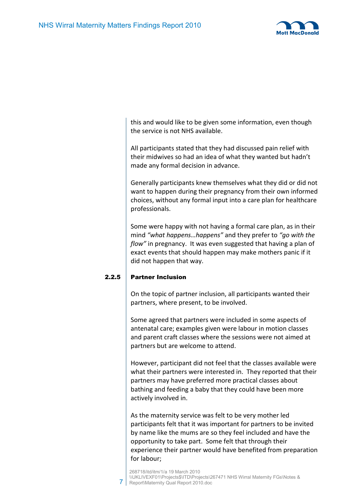

this and would like to be given some information, even though the service is not NHS available.

All participants stated that they had discussed pain relief with their midwives so had an idea of what they wanted but hadn't made any formal decision in advance.

Generally participants knew themselves what they did or did not want to happen during their pregnancy from their own informed choices, without any formal input into a care plan for healthcare professionals.

Some were happy with not having a formal care plan, as in their mind *"what happens…happens"* and they prefer to *"go with the flow"* in pregnancy. It was even suggested that having a plan of exact events that should happen may make mothers panic if it did not happen that way.

## 2.2.5 Partner Inclusion

7

On the topic of partner inclusion, all participants wanted their partners, where present, to be involved.

Some agreed that partners were included in some aspects of antenatal care; examples given were labour in motion classes and parent craft classes where the sessions were not aimed at partners but are welcome to attend.

However, participant did not feel that the classes available were what their partners were interested in. They reported that their partners may have preferred more practical classes about bathing and feeding a baby that they could have been more actively involved in.

As the maternity service was felt to be very mother led participants felt that it was important for partners to be invited by name like the mums are so they feel included and have the opportunity to take part. Some felt that through their experience their partner would have benefited from preparation for labour;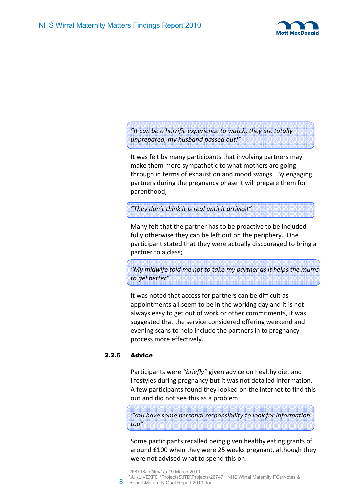

*"It can be a horrific experience to watch, they are totally unprepared, my husband passed out!"* 

It was felt by many participants that involving partners may make them more sympathetic to what mothers are going through in terms of exhaustion and mood swings. By engaging partners during the pregnancy phase it will prepare them for parenthood;

*"They don't think it is real until it arrives!"* 

Many felt that the partner has to be proactive to be included fully otherwise they can be left out on the periphery. One participant stated that they were actually discouraged to bring a partner to a class;

*"My midwife told me not to take my partner as it helps the mums to gel better"* 

It was noted that access for partners can be difficult as appointments all seem to be in the working day and it is not always easy to get out of work or other commitments, it was suggested that the service considered offering weekend and evening scans to help include the partners in to pregnancy process more effectively.

## $2.2.6$  Advice

8

Participants were *"briefly"* given advice on healthy diet and lifestyles during pregnancy but it was not detailed information. A few participants found they looked on the internet to find this out and did not see this as a problem;

*"You have some personal responsibility to look for information too"* 

Some participants recalled being given healthy eating grants of around £100 when they were 25 weeks pregnant, although they were not advised what to spend this on.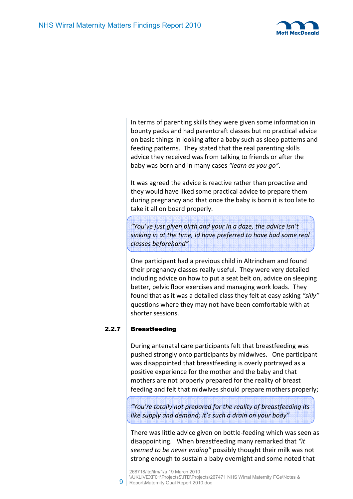

In terms of parenting skills they were given some information in bounty packs and had parentcraft classes but no practical advice on basic things in looking after a baby such as sleep patterns and feeding patterns. They stated that the real parenting skills advice they received was from talking to friends or after the baby was born and in many cases *"learn as you go"*.

It was agreed the advice is reactive rather than proactive and they would have liked some practical advice to prepare them during pregnancy and that once the baby is born it is too late to take it all on board properly.

*"You've just given birth and your in a daze, the advice isn't sinking in at the time, Id have preferred to have had some real classes beforehand"* 

One participant had a previous child in Altrincham and found their pregnancy classes really useful. They were very detailed including advice on how to put a seat belt on, advice on sleeping better, pelvic floor exercises and managing work loads. They found that as it was a detailed class they felt at easy asking *"silly"* questions where they may not have been comfortable with at shorter sessions.

## 2.2.7 Breastfeeding

9

During antenatal care participants felt that breastfeeding was pushed strongly onto participants by midwives. One participant was disappointed that breastfeeding is overly portrayed as a positive experience for the mother and the baby and that mothers are not properly prepared for the reality of breast feeding and felt that midwives should prepare mothers properly;

*"You're totally not prepared for the reality of breastfeeding its like supply and demand; it's such a drain on your body"* 

There was little advice given on bottle-feeding which was seen as disappointing. When breastfeeding many remarked that *"it seemed to be never ending"* possibly thought their milk was not strong enough to sustain a baby overnight and some noted that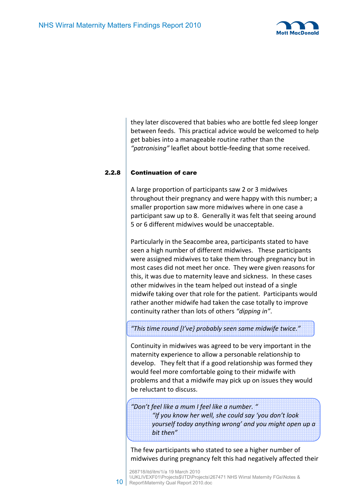

they later discovered that babies who are bottle fed sleep longer between feeds. This practical advice would be welcomed to help get babies into a manageable routine rather than the *"patronising"* leaflet about bottle-feeding that some received.

## 2.2.8 Continuation of care

10

A large proportion of participants saw 2 or 3 midwives throughout their pregnancy and were happy with this number; a smaller proportion saw more midwives where in one case a participant saw up to 8. Generally it was felt that seeing around 5 or 6 different midwives would be unacceptable.

Particularly in the Seacombe area, participants stated to have seen a high number of different midwives. These participants were assigned midwives to take them through pregnancy but in most cases did not meet her once. They were given reasons for this, it was due to maternity leave and sickness. In these cases other midwives in the team helped out instead of a single midwife taking over that role for the patient. Participants would rather another midwife had taken the case totally to improve continuity rather than lots of others *"dipping in"*.

*"This time round [I've} probably seen same midwife twice."* 

Continuity in midwives was agreed to be very important in the maternity experience to allow a personable relationship to develop. They felt that if a good relationship was formed they would feel more comfortable going to their midwife with problems and that a midwife may pick up on issues they would be reluctant to discuss.

*"Don't feel like a mum I feel like a number. " "If you know her well, she could say 'you don't look yourself today anything wrong' and you might open up a bit then"* 

The few participants who stated to see a higher number of midwives during pregnancy felt this had negatively affected their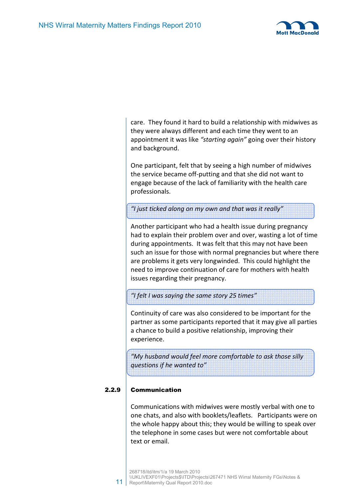

care. They found it hard to build a relationship with midwives as they were always different and each time they went to an appointment it was like *"starting again"* going over their history and background.

One participant, felt that by seeing a high number of midwives the service became off-putting and that she did not want to engage because of the lack of familiarity with the health care professionals.

*"I just ticked along on my own and that was it really"* 

Another participant who had a health issue during pregnancy had to explain their problem over and over, wasting a lot of time during appointments. It was felt that this may not have been such an issue for those with normal pregnancies but where there are problems it gets very longwinded. This could highlight the need to improve continuation of care for mothers with health issues regarding their pregnancy.

*"I felt I was saying the same story 25 times"* 

Continuity of care was also considered to be important for the partner as some participants reported that it may give all parties a chance to build a positive relationship, improving their experience.

*"My husband would feel more comfortable to ask those silly questions if he wanted to"* 

## 2.2.9 Communication

Communications with midwives were mostly verbal with one to one chats, and also with booklets/leaflets. Participants were on the whole happy about this; they would be willing to speak over the telephone in some cases but were not comfortable about text or email.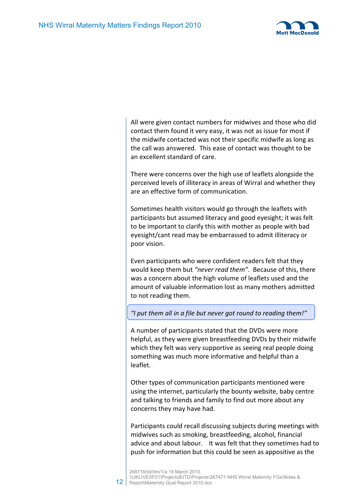12



All were given contact numbers for midwives and those who did contact them found it very easy, it was not as issue for most if the midwife contacted was not their specific midwife as long as the call was answered. This ease of contact was thought to be an excellent standard of care.

There were concerns over the high use of leaflets alongside the perceived levels of illiteracy in areas of Wirral and whether they are an effective form of communication.

Sometimes health visitors would go through the leaflets with participants but assumed literacy and good eyesight; it was felt to be important to clarify this with mother as people with bad eyesight/cant read may be embarrassed to admit illiteracy or poor vision.

Even participants who were confident readers felt that they would keep them but *"never read them"*. Because of this, there was a concern about the high volume of leaflets used and the amount of valuable information lost as many mothers admitted to not reading them.

## *"I put them all in a file but never got round to reading them!"*

A number of participants stated that the DVDs were more helpful, as they were given breastfeeding DVDs by their midwife which they felt was very supportive as seeing real people doing something was much more informative and helpful than a leaflet.

Other types of communication participants mentioned were using the internet, particularly the bounty website, baby centre and talking to friends and family to find out more about any concerns they may have had.

Participants could recall discussing subjects during meetings with midwives such as smoking, breastfeeding, alcohol, financial advice and about labour. It was felt that they sometimes had to push for information but this could be seen as appositive as the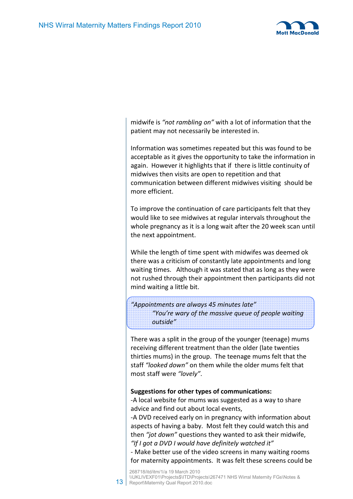

midwife is *"not rambling on"* with a lot of information that the patient may not necessarily be interested in.

Information was sometimes repeated but this was found to be acceptable as it gives the opportunity to take the information in again. However it highlights that if there is little continuity of midwives then visits are open to repetition and that communication between different midwives visiting should be more efficient.

To improve the continuation of care participants felt that they would like to see midwives at regular intervals throughout the whole pregnancy as it is a long wait after the 20 week scan until the next appointment.

While the length of time spent with midwifes was deemed ok there was a criticism of constantly late appointments and long waiting times. Although it was stated that as long as they were not rushed through their appointment then participants did not mind waiting a little bit.

*"Appointments are always 45 minutes late" "You're wary of the massive queue of people waiting outside"* 

There was a split in the group of the younger (teenage) mums receiving different treatment than the older (late twenties thirties mums) in the group. The teenage mums felt that the staff *"looked down"* on them while the older mums felt that most staff were *"lovely"*.

## **Suggestions for other types of communications:**

-A local website for mums was suggested as a way to share advice and find out about local events,

-A DVD received early on in pregnancy with information about aspects of having a baby. Most felt they could watch this and then *"jot down"* questions they wanted to ask their midwife, *"If I got a DVD I would have definitely watched it"*

- Make better use of the video screens in many waiting rooms for maternity appointments. It was felt these screens could be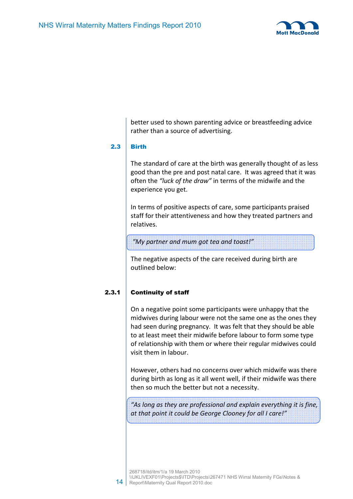

better used to shown parenting advice or breastfeeding advice rather than a source of advertising.

## 2.3 Birth

The standard of care at the birth was generally thought of as less good than the pre and post natal care. It was agreed that it was often the *"luck of the draw"* in terms of the midwife and the experience you get.

In terms of positive aspects of care, some participants praised staff for their attentiveness and how they treated partners and relatives.

 *"My partner and mum got tea and toast!"* 

The negative aspects of the care received during birth are outlined below:

## 2.3.1 Continuity of staff

On a negative point some participants were unhappy that the midwives during labour were not the same one as the ones they had seen during pregnancy. It was felt that they should be able to at least meet their midwife before labour to form some type of relationship with them or where their regular midwives could visit them in labour.

However, others had no concerns over which midwife was there during birth as long as it all went well, if their midwife was there then so much the better but not a necessity.

*"As long as they are professional and explain everything it is fine, at that point it could be George Clooney for all I care!"*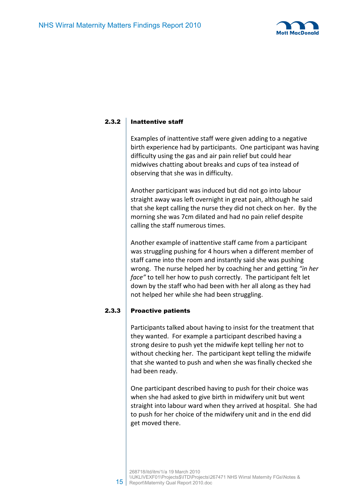

## 2.3.2 Inattentive staff

Examples of inattentive staff were given adding to a negative birth experience had by participants. One participant was having difficulty using the gas and air pain relief but could hear midwives chatting about breaks and cups of tea instead of observing that she was in difficulty.

Another participant was induced but did not go into labour straight away was left overnight in great pain, although he said that she kept calling the nurse they did not check on her. By the morning she was 7cm dilated and had no pain relief despite calling the staff numerous times.

Another example of inattentive staff came from a participant was struggling pushing for 4 hours when a different member of staff came into the room and instantly said she was pushing wrong. The nurse helped her by coaching her and getting *"in her face"* to tell her how to push correctly. The participant felt let down by the staff who had been with her all along as they had not helped her while she had been struggling.

## 2.3.3 Proactive patients

Participants talked about having to insist for the treatment that they wanted. For example a participant described having a strong desire to push yet the midwife kept telling her not to without checking her. The participant kept telling the midwife that she wanted to push and when she was finally checked she had been ready.

One participant described having to push for their choice was when she had asked to give birth in midwifery unit but went straight into labour ward when they arrived at hospital. She had to push for her choice of the midwifery unit and in the end did get moved there.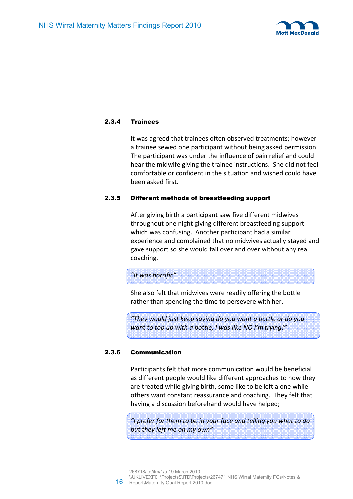

## $2.3.4$  Trainees

It was agreed that trainees often observed treatments; however a trainee sewed one participant without being asked permission. The participant was under the influence of pain relief and could hear the midwife giving the trainee instructions. She did not feel comfortable or confident in the situation and wished could have been asked first.

#### 2.3.5 Different methods of breastfeeding support

After giving birth a participant saw five different midwives throughout one night giving different breastfeeding support which was confusing. Another participant had a similar experience and complained that no midwives actually stayed and gave support so she would fail over and over without any real coaching.

## *"It was horrific"*

She also felt that midwives were readily offering the bottle rather than spending the time to persevere with her.

*"They would just keep saying do you want a bottle or do you want to top up with a bottle, I was like NO I'm trying!"* 

## 2.3.6 Communication

Participants felt that more communication would be beneficial as different people would like different approaches to how they are treated while giving birth, some like to be left alone while others want constant reassurance and coaching. They felt that having a discussion beforehand would have helped;

*"I prefer for them to be in your face and telling you what to do but they left me on my own"*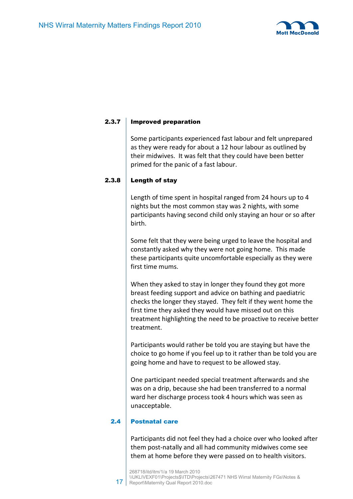

## 2.3.7 Improved preparation

Some participants experienced fast labour and felt unprepared as they were ready for about a 12 hour labour as outlined by their midwives. It was felt that they could have been better primed for the panic of a fast labour.

## 2.3.8 Length of stay

Length of time spent in hospital ranged from 24 hours up to 4 nights but the most common stay was 2 nights, with some participants having second child only staying an hour or so after birth.

Some felt that they were being urged to leave the hospital and constantly asked why they were not going home. This made these participants quite uncomfortable especially as they were first time mums.

When they asked to stay in longer they found they got more breast feeding support and advice on bathing and paediatric checks the longer they stayed. They felt if they went home the first time they asked they would have missed out on this treatment highlighting the need to be proactive to receive better treatment.

Participants would rather be told you are staying but have the choice to go home if you feel up to it rather than be told you are going home and have to request to be allowed stay.

One participant needed special treatment afterwards and she was on a drip, because she had been transferred to a normal ward her discharge process took 4 hours which was seen as unacceptable.

## 2.4 Postnatal care

Participants did not feel they had a choice over who looked after them post-natally and all had community midwives come see them at home before they were passed on to health visitors.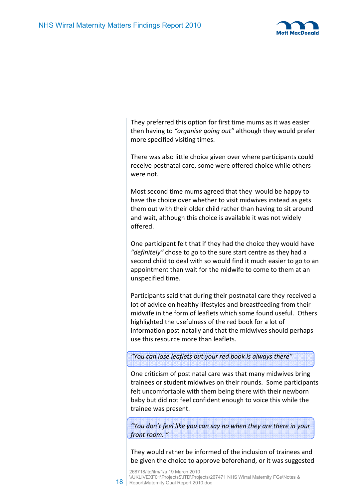18



They preferred this option for first time mums as it was easier then having to *"organise going out"* although they would prefer more specified visiting times.

There was also little choice given over where participants could receive postnatal care, some were offered choice while others were not.

Most second time mums agreed that they would be happy to have the choice over whether to visit midwives instead as gets them out with their older child rather than having to sit around and wait, although this choice is available it was not widely offered.

One participant felt that if they had the choice they would have *"definitely"* chose to go to the sure start centre as they had a second child to deal with so would find it much easier to go to an appointment than wait for the midwife to come to them at an unspecified time.

Participants said that during their postnatal care they received a lot of advice on healthy lifestyles and breastfeeding from their midwife in the form of leaflets which some found useful. Others highlighted the usefulness of the red book for a lot of information post-natally and that the midwives should perhaps use this resource more than leaflets.

*"You can lose leaflets but your red book is always there"* 

One criticism of post natal care was that many midwives bring trainees or student midwives on their rounds. Some participants felt uncomfortable with them being there with their newborn baby but did not feel confident enough to voice this while the trainee was present.

*"You don't feel like you can say no when they are there in your front room. "* 

They would rather be informed of the inclusion of trainees and be given the choice to approve beforehand, or it was suggested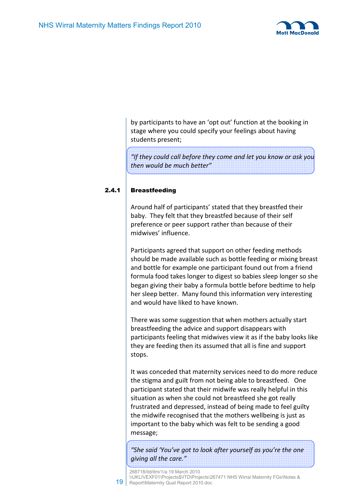

by participants to have an 'opt out' function at the booking in stage where you could specify your feelings about having students present;

*"If they could call before they come and let you know or ask you then would be much better"* 

## 2.4.1 Breastfeeding

19

Around half of participants' stated that they breastfed their baby. They felt that they breastfed because of their self preference or peer support rather than because of their midwives' influence.

Participants agreed that support on other feeding methods should be made available such as bottle feeding or mixing breast and bottle for example one participant found out from a friend formula food takes longer to digest so babies sleep longer so she began giving their baby a formula bottle before bedtime to help her sleep better. Many found this information very interesting and would have liked to have known.

There was some suggestion that when mothers actually start breastfeeding the advice and support disappears with participants feeling that midwives view it as if the baby looks like they are feeding then its assumed that all is fine and support stops.

It was conceded that maternity services need to do more reduce the stigma and guilt from not being able to breastfeed. One participant stated that their midwife was really helpful in this situation as when she could not breastfeed she got really frustrated and depressed, instead of being made to feel guilty the midwife recognised that the mothers wellbeing is just as important to the baby which was felt to be sending a good message;

*"She said 'You've got to look after yourself as you're the one giving all the care."* 

268718/itd/itm/1/a 19 March 2010 \\UKLIVEXF01\Projects\$\ITD\Projects\267471 NHS Wirral Maternity FGs\Notes & Report\Maternity Qual Report 2010.doc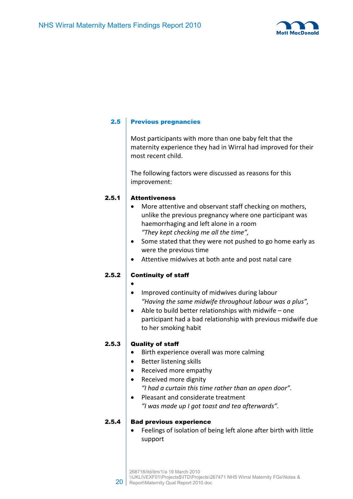

## 2.5 Previous pregnancies

Most participants with more than one baby felt that the maternity experience they had in Wirral had improved for their most recent child.

The following factors were discussed as reasons for this improvement:

## 2.5.1 Attentiveness

- More attentive and observant staff checking on mothers, unlike the previous pregnancy where one participant was haemorrhaging and left alone in a room *"They kept checking me all the time",*
- Some stated that they were not pushed to go home early as were the previous time
- Attentive midwives at both ante and post natal care

## 2.5.2 Continuity of staff

- •
- Improved continuity of midwives during labour *"Having the same midwife throughout labour was a plus",*
- Able to build better relationships with midwife one participant had a bad relationship with previous midwife due to her smoking habit

## 2.5.3 Quality of staff

- Birth experience overall was more calming
- Better listening skills
- Received more empathy
- Received more dignity *"I had a curtain this time rather than an open door".*
- Pleasant and considerate treatment *"I was made up I got toast and tea afterwards".*

## 2.5.4 Bad previous experience

Feelings of isolation of being left alone after birth with little support

20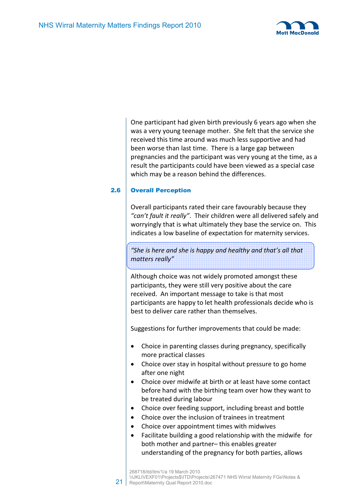

One participant had given birth previously 6 years ago when she was a very young teenage mother. She felt that the service she received this time around was much less supportive and had been worse than last time. There is a large gap between pregnancies and the participant was very young at the time, as a result the participants could have been viewed as a special case which may be a reason behind the differences.

## 2.6 Overall Perception

Overall participants rated their care favourably because they *"can't fault it really"*. Their children were all delivered safely and worryingly that is what ultimately they base the service on. This indicates a low baseline of expectation for maternity services.

*"She is here and she is happy and healthy and that's all that matters really"*

Although choice was not widely promoted amongst these participants, they were still very positive about the care received. An important message to take is that most participants are happy to let health professionals decide who is best to deliver care rather than themselves.

Suggestions for further improvements that could be made:

- Choice in parenting classes during pregnancy, specifically more practical classes
- Choice over stay in hospital without pressure to go home after one night
- Choice over midwife at birth or at least have some contact before hand with the birthing team over how they want to be treated during labour
- Choice over feeding support, including breast and bottle
- Choice over the inclusion of trainees in treatment
- Choice over appointment times with midwives
- Facilitate building a good relationship with the midwife for both mother and partner– this enables greater understanding of the pregnancy for both parties, allows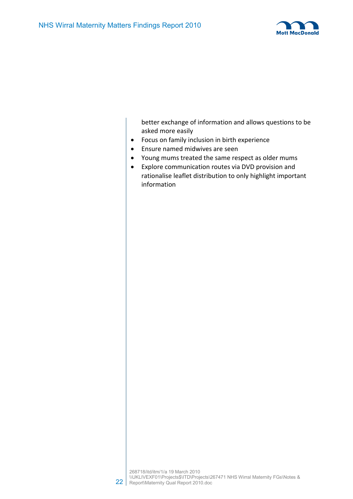

better exchange of information and allows questions to be asked more easily

- Focus on family inclusion in birth experience
- Ensure named midwives are seen
- Young mums treated the same respect as older mums
- Explore communication routes via DVD provision and rationalise leaflet distribution to only highlight important information

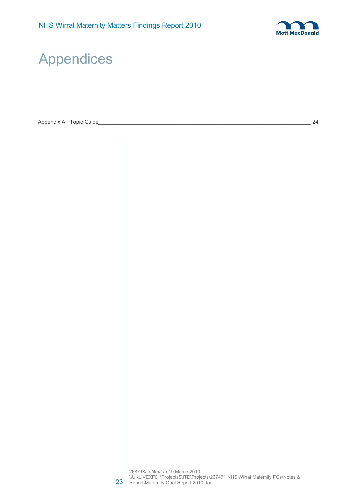

## Appendices

Appendix A. Topic Guide\_\_\_\_\_\_\_\_\_\_\_\_\_\_\_\_\_\_\_\_\_\_\_\_\_\_\_\_\_\_\_\_\_\_\_\_\_\_\_\_\_\_\_\_\_\_\_\_\_\_\_\_\_\_\_\_\_\_\_\_\_\_\_\_\_\_\_\_\_\_\_ 24

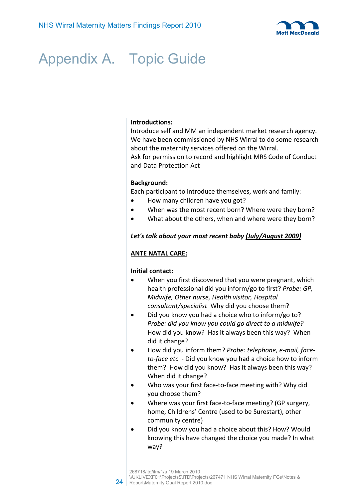

# Appendix A. Topic Guide

## **Introductions:**

Introduce self and MM an independent market research agency. We have been commissioned by NHS Wirral to do some research about the maternity services offered on the Wirral. Ask for permission to record and highlight MRS Code of Conduct and Data Protection Act

#### **Background:**

Each participant to introduce themselves, work and family:

- How many children have you got?
- When was the most recent born? Where were they born?
- What about the others, when and where were they born?

#### *Let's talk about your most recent baby (July/August 2009)*

## **ANTE NATAL CARE:**

#### **Initial contact:**

- When you first discovered that you were pregnant, which health professional did you inform/go to first? *Probe: GP, Midwife, Other nurse, Health visitor, Hospital consultant/specialist* Why did you choose them?
- Did you know you had a choice who to inform/go to? *Probe: did you know you could go direct to a midwife?*  How did you know? Has it always been this way? When did it change?
- How did you inform them? *Probe: telephone, e-mail, faceto-face etc -* Did you know you had a choice how to inform them? How did you know? Has it always been this way? When did it change?
- Who was your first face-to-face meeting with? Why did you choose them?
- Where was your first face-to-face meeting? (GP surgery, home, Childrens' Centre (used to be Surestart), other community centre)
- Did you know you had a choice about this? How? Would knowing this have changed the choice you made? In what way?

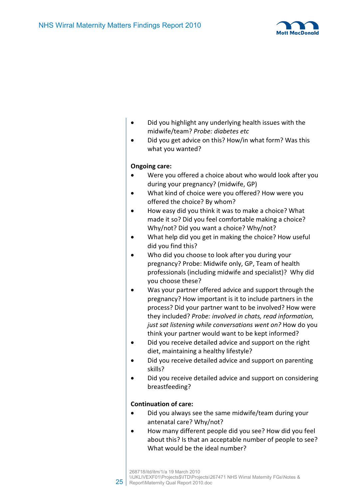

- Did you highlight any underlying health issues with the midwife/team? *Probe: diabetes etc*
- Did you get advice on this? How/in what form? Was this what you wanted?

## **Ongoing care:**

- Were you offered a choice about who would look after you during your pregnancy? (midwife, GP)
- What kind of choice were you offered? How were you offered the choice? By whom?
- How easy did you think it was to make a choice? What made it so? Did you feel comfortable making a choice? Why/not? Did you want a choice? Why/not?
- What help did you get in making the choice? How useful did you find this?
- Who did you choose to look after you during your pregnancy? Probe: Midwife only, GP, Team of health professionals (including midwife and specialist)? Why did you choose these?
- Was your partner offered advice and support through the pregnancy? How important is it to include partners in the process? Did your partner want to be involved? How were they included? *Probe: involved in chats, read information, just sat listening while conversations went on?* How do you think your partner would want to be kept informed?
- Did you receive detailed advice and support on the right diet, maintaining a healthy lifestyle?
- Did you receive detailed advice and support on parenting skills?
- Did you receive detailed advice and support on considering breastfeeding?

## **Continuation of care:**

- Did you always see the same midwife/team during your antenatal care? Why/not?
- How many different people did you see? How did you feel about this? Is that an acceptable number of people to see? What would be the ideal number?

25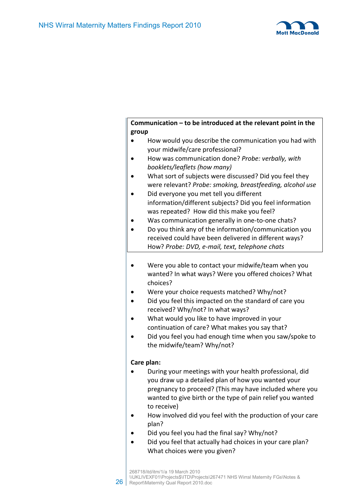

## **Communication – to be introduced at the relevant point in the group**

- How would you describe the communication you had with your midwife/care professional?
- How was communication done? *Probe: verbally, with booklets/leaflets (how many)*
- What sort of subjects were discussed? Did you feel they were relevant? *Probe: smoking, breastfeeding, alcohol use*
- Did everyone you met tell you different information/different subjects? Did you feel information was repeated? How did this make you feel?
- Was communication generally in one-to-one chats?
- Do you think any of the information/communication you received could have been delivered in different ways? How? *Probe: DVD, e-mail, text, telephone chats*
- Were you able to contact your midwife/team when you wanted? In what ways? Were you offered choices? What choices?
- Were your choice requests matched? Why/not?
- Did you feel this impacted on the standard of care you received? Why/not? In what ways?
- What would you like to have improved in your continuation of care? What makes you say that?
- Did you feel you had enough time when you saw/spoke to the midwife/team? Why/not?

## **Care plan:**

- During your meetings with your health professional, did you draw up a detailed plan of how you wanted your pregnancy to proceed? (This may have included where you wanted to give birth or the type of pain relief you wanted to receive)
- How involved did you feel with the production of your care plan?
- Did you feel you had the final say? Why/not?
- Did you feel that actually had choices in your care plan? What choices were you given?

26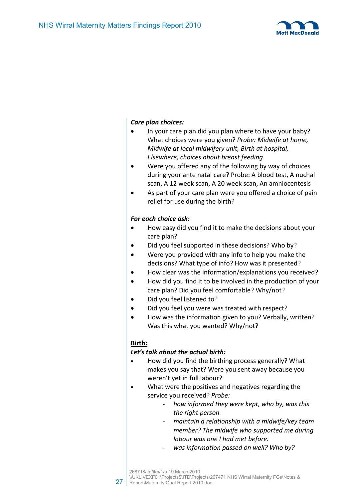

## *Care plan choices:*

- In your care plan did you plan where to have your baby? What choices were you given? *Probe: Midwife at home, Midwife at local midwifery unit, Birth at hospital, Elsewhere, choices about breast feeding*
- Were you offered any of the following by way of choices during your ante natal care? Probe: A blood test, A nuchal scan, A 12 week scan, A 20 week scan, An amniocentesis
- As part of your care plan were you offered a choice of pain relief for use during the birth?

## *For each choice ask:*

- How easy did you find it to make the decisions about your care plan?
- Did you feel supported in these decisions? Who by?
- Were you provided with any info to help you make the decisions? What type of info? How was it presented?
- How clear was the information/explanations you received?
- How did you find it to be involved in the production of your care plan? Did you feel comfortable? Why/not?
- Did you feel listened to?
- Did you feel you were was treated with respect?
- How was the information given to you? Verbally, written? Was this what you wanted? Why/not?

## **Birth:**

## *Let's talk about the actual birth:*

- How did you find the birthing process generally? What makes you say that? Were you sent away because you weren't yet in full labour?
- What were the positives and negatives regarding the service you received? *Probe:*
	- *how informed they were kept, who by, was this the right person*
	- *maintain a relationship with a midwife/key team member? The midwife who supported me during labour was one I had met before.*
	- *was information passed on well? Who by?*

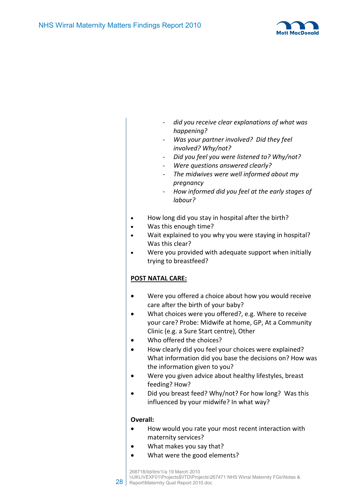

- *did you receive clear explanations of what was happening?*
- *Was your partner involved? Did they feel involved? Why/not?*
- *Did you feel you were listened to? Why/not?*
- *Were questions answered clearly?*
- *The midwives were well informed about my pregnancy*
- *How informed did you feel at the early stages of labour?*
- How long did you stay in hospital after the birth?
- Was this enough time?
- Wait explained to you why you were staying in hospital? Was this clear?
- Were you provided with adequate support when initially trying to breastfeed?

## **POST NATAL CARE:**

- Were you offered a choice about how you would receive care after the birth of your baby?
- What choices were you offered?, e.g. Where to receive your care? Probe: Midwife at home, GP, At a Community Clinic (e.g. a Sure Start centre), Other
- Who offered the choices?
- How clearly did you feel your choices were explained? What information did you base the decisions on? How was the information given to you?
- Were you given advice about healthy lifestyles, breast feeding? How?
- Did you breast feed? Why/not? For how long? Was this influenced by your midwife? In what way?

## **Overall:**

- How would you rate your most recent interaction with maternity services?
- What makes you say that?
- What were the good elements?